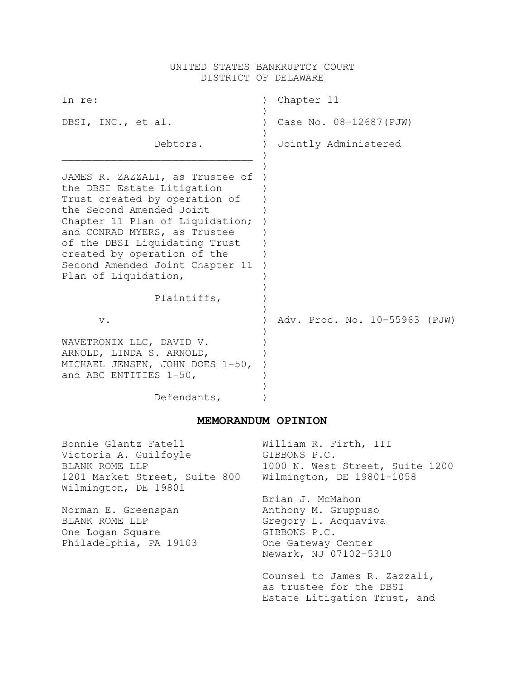## UNITED STATES BANKRUPTCY COURT DISTRICT OF DELAWARE

| In re:                                                                                                                                                                                                                                                                                                                   | Chapter 11                    |
|--------------------------------------------------------------------------------------------------------------------------------------------------------------------------------------------------------------------------------------------------------------------------------------------------------------------------|-------------------------------|
| DBSI, INC., et al.                                                                                                                                                                                                                                                                                                       | Case No. 08-12687 (PJW)       |
| Debtors.                                                                                                                                                                                                                                                                                                                 | Jointly Administered          |
| JAMES R. ZAZZALI, as Trustee of<br>the DBSI Estate Litigation<br>Trust created by operation of<br>the Second Amended Joint<br>Chapter 11 Plan of Liquidation;<br>and CONRAD MYERS, as Trustee<br>of the DBSI Liquidating Trust<br>created by operation of the<br>Second Amended Joint Chapter 11<br>Plan of Liquidation, |                               |
| Plaintiffs,                                                                                                                                                                                                                                                                                                              |                               |
| $V$ .                                                                                                                                                                                                                                                                                                                    | Adv. Proc. No. 10-55963 (PJW) |
| WAVETRONIX LLC, DAVID V.<br>ARNOLD, LINDA S. ARNOLD,<br>MICHAEL JENSEN, JOHN DOES 1-50,<br>and ABC ENTITIES 1-50,                                                                                                                                                                                                        |                               |
| Defendants,                                                                                                                                                                                                                                                                                                              |                               |

# **MEMORANDUM OPINION**

| Bonnie Glantz Fatell                                  | William R. Firth, III           |
|-------------------------------------------------------|---------------------------------|
| Victoria A. Guilfoyle                                 | GIBBONS P.C.                    |
| BLANK ROME LLP                                        | 1000 N. West Street, Suite 1200 |
| 1201 Market Street, Suite 800<br>Wilmington, DE 19801 | Wilmington, DE 19801-1058       |
|                                                       | Brian J. McMahon                |
| Norman E. Greenspan                                   | Anthony M. Gruppuso             |
| BLANK ROME LLP                                        | Gregory L. Acquaviva            |
| One Logan Square                                      | GIBBONS P.C.                    |
| Philadelphia, PA 19103                                | One Gateway Center              |
|                                                       | Newark, NJ 07102-5310           |
|                                                       | Counsel to James R. Zazzali,    |
|                                                       | as trustee for the DBSI         |
|                                                       | Estate Litigation Trust, and    |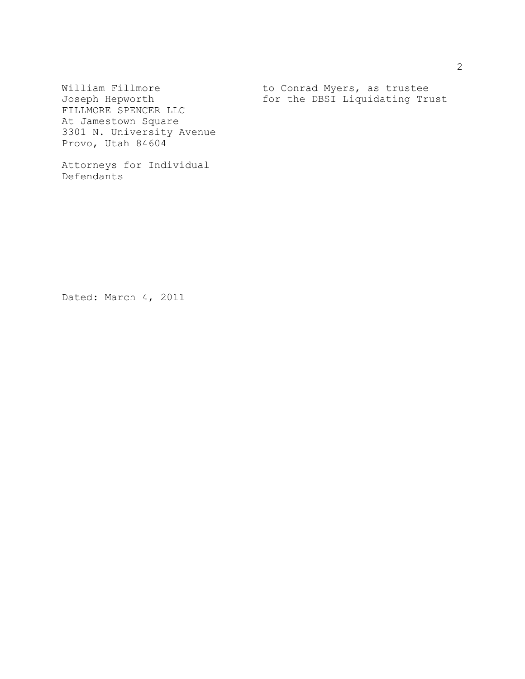FILLMORE SPENCER LLC At Jamestown Square 3301 N. University Avenue Provo, Utah 84604

Attorneys for Individual Defendants

William Fillmore  $\begin{array}{ccc} \text{Wiliam} & \text{Uim} \\ \text{Hilum} & \text{Uim} \\ \text{Hilum} & \text{Vim} \\ \text{Vim} & \text{Vim} \\ \text{Vim} & \text{Vim} \\ \text{Vim} & \text{Vim} \\ \text{Vim} & \text{Vim} \\ \text{Vim} & \text{Vim} \\ \text{Vim} & \text{Vim} \\ \text{Vim} & \text{Vim} \\ \text{Vim} & \text{Vim} \\ \text{Vim} & \text{Vim} \\ \text{Vim} & \text{Vim} \\ \text{Vim} & \text{Vim$ for the DBSI Liquidating Trust

Dated: March 4, 2011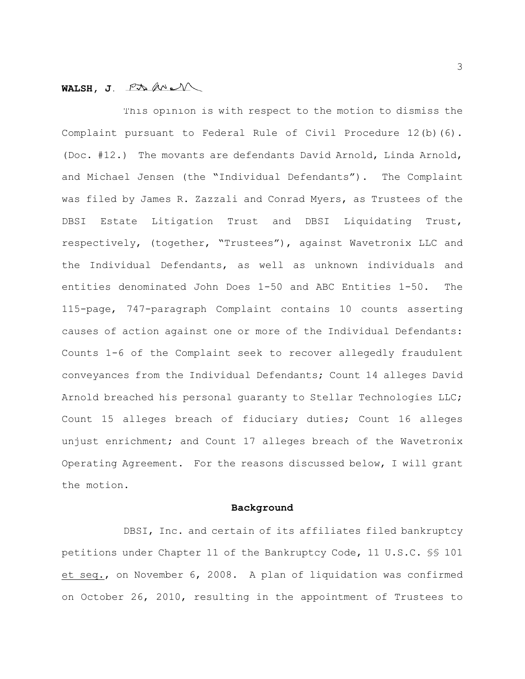## WALSH, J. PA*M*

This opinion is with respect to the motion to dismiss the Complaint pursuant to Federal Rule of Civil Procedure 12(b)(6). (Doc. #12.) The movants are defendants David Arnold, Linda Arnold, and Michael Jensen (the "Individual Defendants"). The Complaint was filed by James R. Zazzali and Conrad Myers, as Trustees of the DBSI Estate Litigation Trust and DBSI Liquidating Trust, respectively, (together, "Trustees"), against Wavetronix LLC and the Individual Defendants, as well as unknown individuals and entities denominated John Does 1-50 and ABC Entities 1-50. The 115-page, 747-paragraph Complaint contains 10 counts asserting causes of action against one or more of the Individual Defendants: Counts 1-6 of the Complaint seek to recover allegedly fraudulent conveyances from the Individual Defendants; Count 14 alleges David Arnold breached his personal quaranty to Stellar Technologies LLC; Count 15 alleges breach of fiduciary duties; Count 16 alleges unjust enrichment; and Count 17 alleges breach of the Wavetronix Operating Agreement. For the reasons discussed below, I will grant the motion.

#### **Background**

DBSI, Inc. and certain of its affiliates filed bankruptcy petitions under Chapter 11 of the Bankruptcy Code, 11 U.S.C. §§ 101 et seq., on November 6, 2008. A plan of liquidation was confirmed on October 26, 2010, resulting in the appointment of Trustees to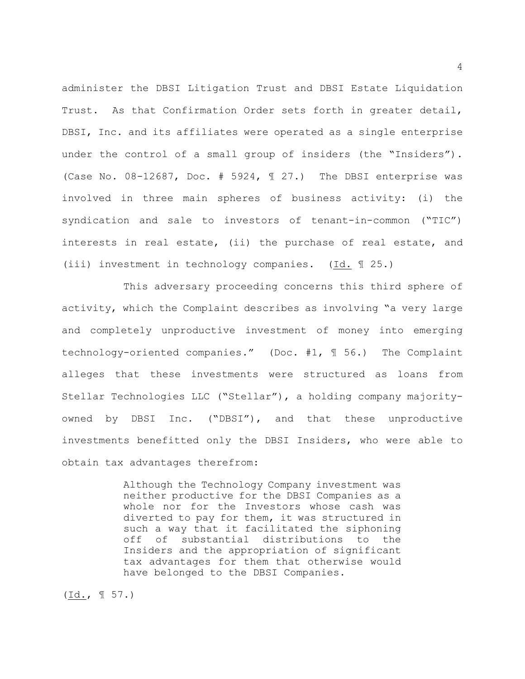administer the DBSI Litigation Trust and DBSI Estate Liquidation Trust. As that Confirmation Order sets forth in greater detail, DBSI, Inc. and its affiliates were operated as a single enterprise under the control of a small group of insiders (the "Insiders"). (Case No.  $08-12687$ , Doc. # 5924,  $\text{\textsterling}$  27.) The DBSI enterprise was involved in three main spheres of business activity: (i) the syndication and sale to investors of tenant-in-common ("TIC") interests in real estate, (ii) the purchase of real estate, and (iii) investment in technology companies. (Id. ¶ 25.)

This adversary proceeding concerns this third sphere of activity, which the Complaint describes as involving "a very large and completely unproductive investment of money into emerging technology-oriented companies." (Doc. #1, ¶ 56.) The Complaint alleges that these investments were structured as loans from Stellar Technologies LLC ("Stellar"), a holding company majorityowned by DBSI Inc. ("DBSI"), and that these unproductive investments benefitted only the DBSI Insiders, who were able to obtain tax advantages therefrom:

> Although the Technology Company investment was neither productive for the DBSI Companies as a whole nor for the Investors whose cash was diverted to pay for them, it was structured in such a way that it facilitated the siphoning off of substantial distributions to the Insiders and the appropriation of significant tax advantages for them that otherwise would have belonged to the DBSI Companies.

(Id., ¶ 57.)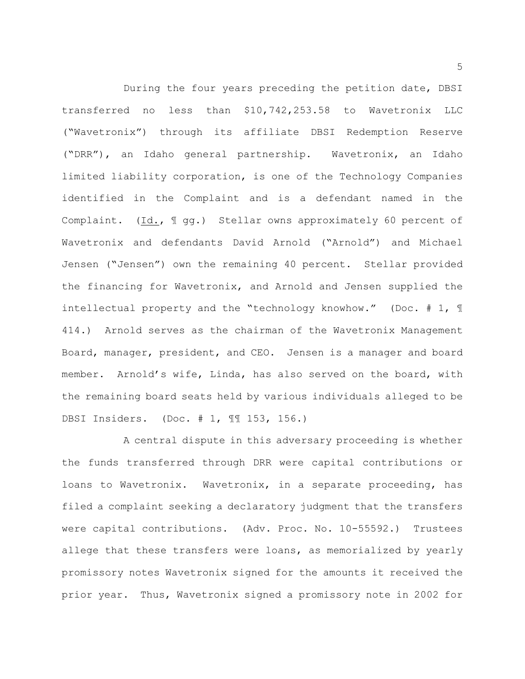During the four years preceding the petition date, DBSI transferred no less than \$10,742,253.58 to Wavetronix LLC ("Wavetronix") through its affiliate DBSI Redemption Reserve ("DRR"), an Idaho general partnership. Wavetronix, an Idaho limited liability corporation, is one of the Technology Companies identified in the Complaint and is a defendant named in the Complaint. (Id., 1 gg.) Stellar owns approximately 60 percent of Wavetronix and defendants David Arnold ("Arnold") and Michael Jensen ("Jensen") own the remaining 40 percent. Stellar provided the financing for Wavetronix, and Arnold and Jensen supplied the intellectual property and the "technology knowhow." (Doc. # 1, ¶ 414.) Arnold serves as the chairman of the Wavetronix Management Board, manager, president, and CEO. Jensen is a manager and board member. Arnold's wife, Linda, has also served on the board, with the remaining board seats held by various individuals alleged to be DBSI Insiders. (Doc. # 1, ¶¶ 153, 156.)

A central dispute in this adversary proceeding is whether the funds transferred through DRR were capital contributions or loans to Wavetronix. Wavetronix, in a separate proceeding, has filed a complaint seeking a declaratory judgment that the transfers were capital contributions. (Adv. Proc. No. 10-55592.) Trustees allege that these transfers were loans, as memorialized by yearly promissory notes Wavetronix signed for the amounts it received the prior year. Thus, Wavetronix signed a promissory note in 2002 for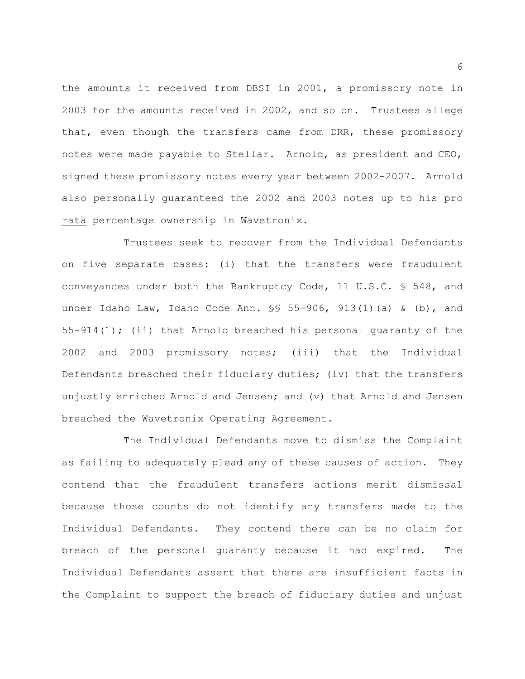the amounts it received from DBSI in 2001, a promissory note in 2003 for the amounts received in 2002, and so on. Trustees allege that, even though the transfers came from DRR, these promissory notes were made payable to Stellar. Arnold, as president and CEO, signed these promissory notes every year between 2002-2007. Arnold also personally guaranteed the 2002 and 2003 notes up to his pro rata percentage ownership in Wavetronix.

Trustees seek to recover from the Individual Defendants on five separate bases: (i) that the transfers were fraudulent conveyances under both the Bankruptcy Code, 11 U.S.C. § 548, and under Idaho Law, Idaho Code Ann.  $\S$  55-906, 913(1)(a) & (b), and 55-914(1); (ii) that Arnold breached his personal quaranty of the 2002 and 2003 promissory notes; (iii) that the Individual Defendants breached their fiduciary duties; (iv) that the transfers unjustly enriched Arnold and Jensen; and (v) that Arnold and Jensen breached the Wavetronix Operating Agreement.

The Individual Defendants move to dismiss the Complaint as failing to adequately plead any of these causes of action. They contend that the fraudulent transfers actions merit dismissal because those counts do not identify any transfers made to the Individual Defendants. They contend there can be no claim for breach of the personal guaranty because it had expired. The Individual Defendants assert that there are insufficient facts in the Complaint to support the breach of fiduciary duties and unjust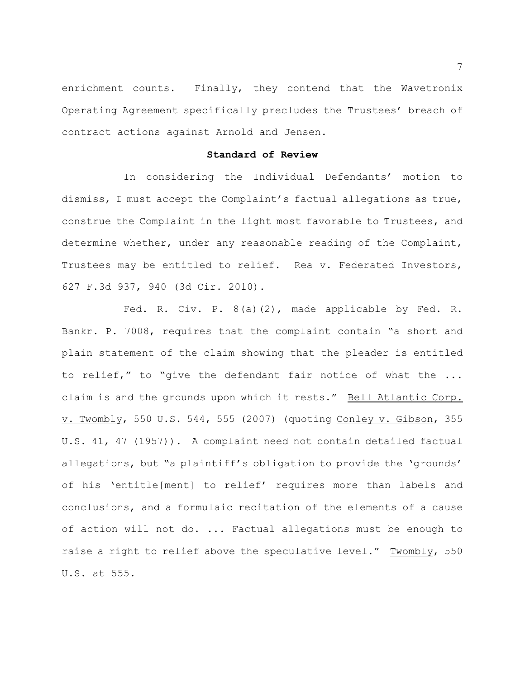enrichment counts. Finally, they contend that the Wavetronix Operating Agreement specifically precludes the Trustees' breach of contract actions against Arnold and Jensen.

### **Standard of Review**

In considering the Individual Defendants' motion to dismiss, I must accept the Complaint's factual allegations as true, construe the Complaint in the light most favorable to Trustees, and determine whether, under any reasonable reading of the Complaint, Trustees may be entitled to relief. Rea v. Federated Investors, 627 F.3d 937, 940 (3d Cir. 2010).

Fed. R. Civ. P. 8(a)(2), made applicable by Fed. R. Bankr. P. 7008, requires that the complaint contain "a short and plain statement of the claim showing that the pleader is entitled to relief," to "give the defendant fair notice of what the ... claim is and the grounds upon which it rests." Bell Atlantic Corp. v. Twombly, 550 U.S. 544, 555 (2007) (quoting Conley v. Gibson, 355 U.S. 41, 47 (1957)). A complaint need not contain detailed factual allegations, but "a plaintiff's obligation to provide the 'grounds' of his 'entitle[ment] to relief' requires more than labels and conclusions, and a formulaic recitation of the elements of a cause of action will not do. ... Factual allegations must be enough to raise a right to relief above the speculative level." Twombly, 550 U.S. at 555.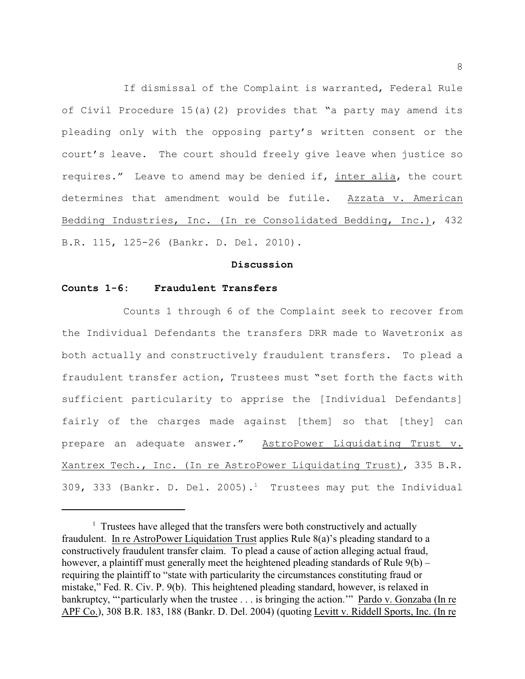If dismissal of the Complaint is warranted, Federal Rule of Civil Procedure 15(a)(2) provides that "a party may amend its pleading only with the opposing party's written consent or the court's leave. The court should freely give leave when justice so requires." Leave to amend may be denied if, inter alia, the court determines that amendment would be futile. Azzata v. American Bedding Industries, Inc. (In re Consolidated Bedding, Inc.), 432 B.R. 115, 125-26 (Bankr. D. Del. 2010).

### **Discussion**

### **Counts 1-6: Fraudulent Transfers**

Counts 1 through 6 of the Complaint seek to recover from the Individual Defendants the transfers DRR made to Wavetronix as both actually and constructively fraudulent transfers. To plead a fraudulent transfer action, Trustees must "set forth the facts with sufficient particularity to apprise the [Individual Defendants] fairly of the charges made against [them] so that [they] can prepare an adequate answer." AstroPower Liquidating Trust v. Xantrex Tech., Inc. (In re AstroPower Liquidating Trust), 335 B.R. 309, 333 (Bankr. D. Del. 2005).<sup>1</sup> Trustees may put the Individual

 $\frac{1}{1}$  Trustees have alleged that the transfers were both constructively and actually fraudulent. In re AstroPower Liquidation Trust applies Rule 8(a)'s pleading standard to a constructively fraudulent transfer claim. To plead a cause of action alleging actual fraud, however, a plaintiff must generally meet the heightened pleading standards of Rule 9(b) – requiring the plaintiff to "state with particularity the circumstances constituting fraud or mistake," Fed. R. Civ. P. 9(b). This heightened pleading standard, however, is relaxed in bankruptcy, "'particularly when the trustee . . . is bringing the action.'" Pardo v. Gonzaba (In re APF Co.), 308 B.R. 183, 188 (Bankr. D. Del. 2004) (quoting Levitt v. Riddell Sports, Inc. (In re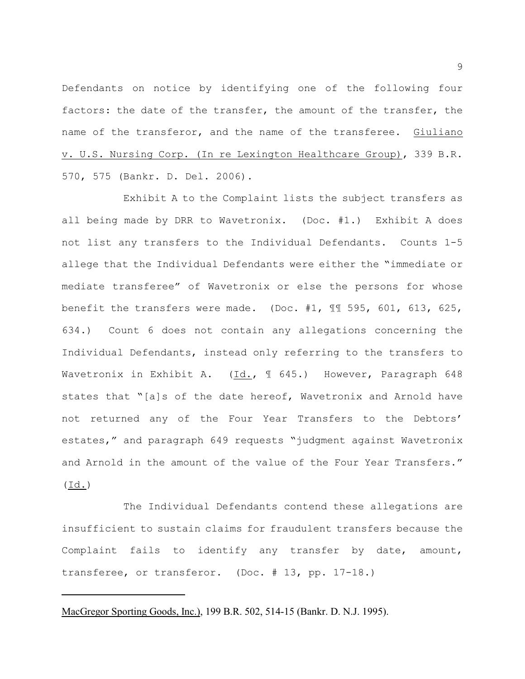Defendants on notice by identifying one of the following four factors: the date of the transfer, the amount of the transfer, the name of the transferor, and the name of the transferee. Giuliano v. U.S. Nursing Corp. (In re Lexington Healthcare Group), 339 B.R. 570, 575 (Bankr. D. Del. 2006).

Exhibit A to the Complaint lists the subject transfers as all being made by DRR to Wavetronix. (Doc. #1.) Exhibit A does not list any transfers to the Individual Defendants. Counts 1-5 allege that the Individual Defendants were either the "immediate or mediate transferee" of Wavetronix or else the persons for whose benefit the transfers were made. (Doc. #1, ¶¶ 595, 601, 613, 625, 634.) Count 6 does not contain any allegations concerning the Individual Defendants, instead only referring to the transfers to Wavetronix in Exhibit A. (Id.,  $\parallel$  645.) However, Paragraph 648 states that "[a]s of the date hereof, Wavetronix and Arnold have not returned any of the Four Year Transfers to the Debtors' estates," and paragraph 649 requests "judgment against Wavetronix and Arnold in the amount of the value of the Four Year Transfers."  $(\underline{Id.})$ 

The Individual Defendants contend these allegations are insufficient to sustain claims for fraudulent transfers because the Complaint fails to identify any transfer by date, amount, transferee, or transferor. (Doc. # 13, pp. 17-18.)

MacGregor Sporting Goods, Inc.), 199 B.R. 502, 514-15 (Bankr. D. N.J. 1995).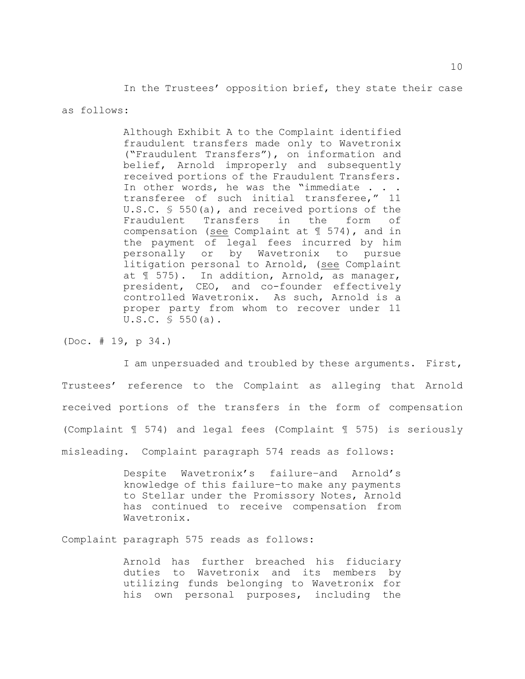In the Trustees' opposition brief, they state their case

#### as follows:

Although Exhibit A to the Complaint identified fraudulent transfers made only to Wavetronix ("Fraudulent Transfers"), on information and belief, Arnold improperly and subsequently received portions of the Fraudulent Transfers. In other words, he was the "immediate . . . transferee of such initial transferee," 11 U.S.C. § 550(a), and received portions of the Fraudulent Transfers in the form of compensation (see Complaint at ¶ 574), and in the payment of legal fees incurred by him personally or by Wavetronix to pursue litigation personal to Arnold, (see Complaint at ¶ 575). In addition, Arnold, as manager, president, CEO, and co-founder effectively controlled Wavetronix. As such, Arnold is a proper party from whom to recover under 11 U.S.C. § 550(a).

(Doc. # 19, p 34.)

I am unpersuaded and troubled by these arguments. First, Trustees' reference to the Complaint as alleging that Arnold received portions of the transfers in the form of compensation (Complaint ¶ 574) and legal fees (Complaint ¶ 575) is seriously misleading. Complaint paragraph 574 reads as follows:

> Despite Wavetronix's failure–and Arnold's knowledge of this failure–to make any payments to Stellar under the Promissory Notes, Arnold has continued to receive compensation from Wavetronix.

Complaint paragraph 575 reads as follows:

Arnold has further breached his fiduciary duties to Wavetronix and its members by utilizing funds belonging to Wavetronix for his own personal purposes, including the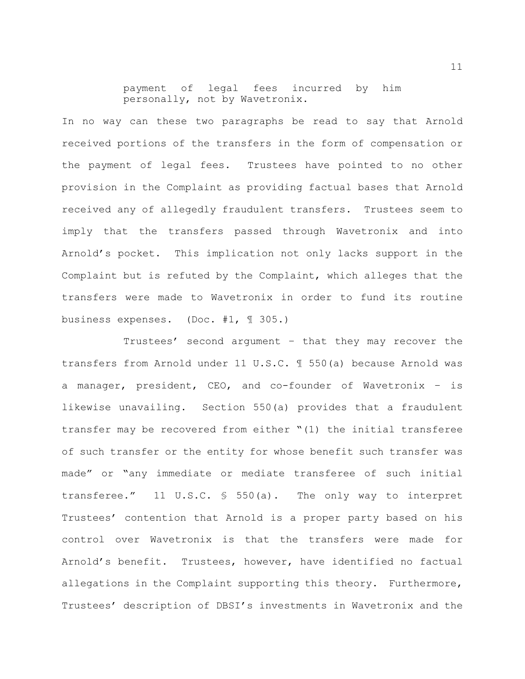payment of legal fees incurred by him personally, not by Wavetronix.

In no way can these two paragraphs be read to say that Arnold received portions of the transfers in the form of compensation or the payment of legal fees. Trustees have pointed to no other provision in the Complaint as providing factual bases that Arnold received any of allegedly fraudulent transfers. Trustees seem to imply that the transfers passed through Wavetronix and into Arnold's pocket. This implication not only lacks support in the Complaint but is refuted by the Complaint, which alleges that the transfers were made to Wavetronix in order to fund its routine business expenses. (Doc. #1, ¶ 305.)

Trustees' second argument – that they may recover the transfers from Arnold under 11 U.S.C. ¶ 550(a) because Arnold was a manager, president, CEO, and co-founder of Wavetronix – is likewise unavailing. Section 550(a) provides that a fraudulent transfer may be recovered from either "(1) the initial transferee of such transfer or the entity for whose benefit such transfer was made" or "any immediate or mediate transferee of such initial transferee." 11 U.S.C. § 550(a). The only way to interpret Trustees' contention that Arnold is a proper party based on his control over Wavetronix is that the transfers were made for Arnold's benefit. Trustees, however, have identified no factual allegations in the Complaint supporting this theory. Furthermore, Trustees' description of DBSI's investments in Wavetronix and the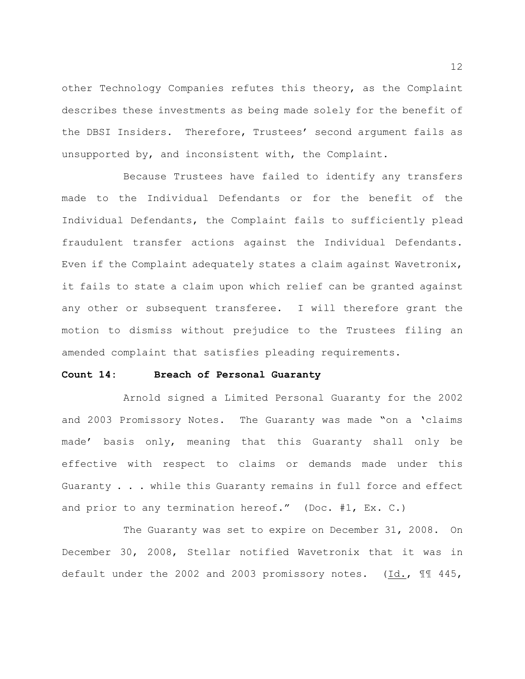other Technology Companies refutes this theory, as the Complaint describes these investments as being made solely for the benefit of the DBSI Insiders. Therefore, Trustees' second argument fails as unsupported by, and inconsistent with, the Complaint.

Because Trustees have failed to identify any transfers made to the Individual Defendants or for the benefit of the Individual Defendants, the Complaint fails to sufficiently plead fraudulent transfer actions against the Individual Defendants. Even if the Complaint adequately states a claim against Wavetronix, it fails to state a claim upon which relief can be granted against any other or subsequent transferee. I will therefore grant the motion to dismiss without prejudice to the Trustees filing an amended complaint that satisfies pleading requirements.

#### **Count 14: Breach of Personal Guaranty**

Arnold signed a Limited Personal Guaranty for the 2002 and 2003 Promissory Notes. The Guaranty was made "on a 'claims made' basis only, meaning that this Guaranty shall only be effective with respect to claims or demands made under this Guaranty . . . while this Guaranty remains in full force and effect and prior to any termination hereof." (Doc. #1, Ex. C.)

The Guaranty was set to expire on December 31, 2008. On December 30, 2008, Stellar notified Wavetronix that it was in default under the 2002 and 2003 promissory notes. (Id., ¶¶ 445,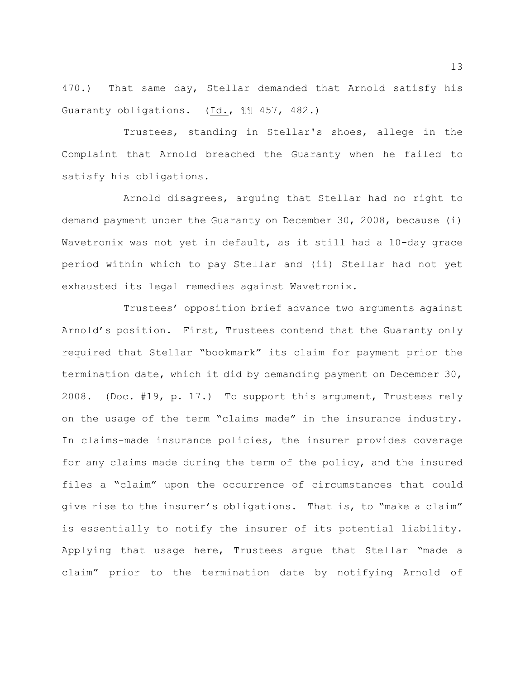470.) That same day, Stellar demanded that Arnold satisfy his Guaranty obligations. (Id., ¶¶ 457, 482.)

Trustees, standing in Stellar's shoes, allege in the Complaint that Arnold breached the Guaranty when he failed to satisfy his obligations.

Arnold disagrees, arguing that Stellar had no right to demand payment under the Guaranty on December 30, 2008, because (i) Wavetronix was not yet in default, as it still had a 10-day grace period within which to pay Stellar and (ii) Stellar had not yet exhausted its legal remedies against Wavetronix.

Trustees' opposition brief advance two arguments against Arnold's position. First, Trustees contend that the Guaranty only required that Stellar "bookmark" its claim for payment prior the termination date, which it did by demanding payment on December 30, 2008. (Doc. #19, p. 17.) To support this argument, Trustees rely on the usage of the term "claims made" in the insurance industry. In claims-made insurance policies, the insurer provides coverage for any claims made during the term of the policy, and the insured files a "claim" upon the occurrence of circumstances that could give rise to the insurer's obligations. That is, to "make a claim" is essentially to notify the insurer of its potential liability. Applying that usage here, Trustees argue that Stellar "made a claim" prior to the termination date by notifying Arnold of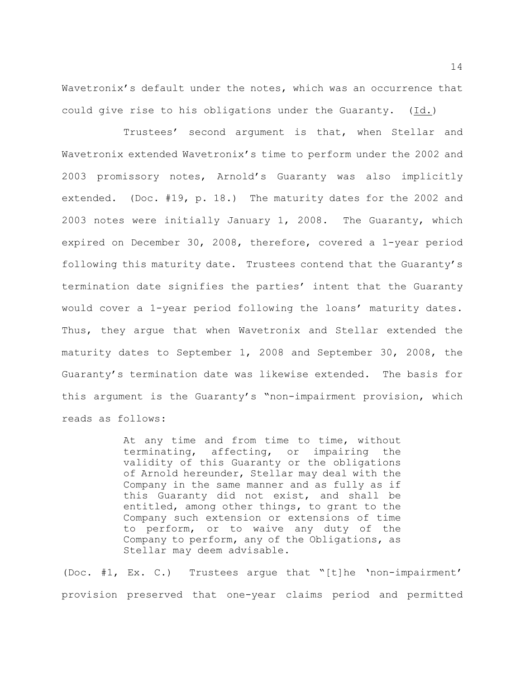Wavetronix's default under the notes, which was an occurrence that could give rise to his obligations under the Guaranty. (Id.)

Trustees' second argument is that, when Stellar and Wavetronix extended Wavetronix's time to perform under the 2002 and 2003 promissory notes, Arnold's Guaranty was also implicitly extended. (Doc. #19, p. 18.) The maturity dates for the 2002 and 2003 notes were initially January 1, 2008. The Guaranty, which expired on December 30, 2008, therefore, covered a 1-year period following this maturity date. Trustees contend that the Guaranty's termination date signifies the parties' intent that the Guaranty would cover a 1-year period following the loans' maturity dates. Thus, they argue that when Wavetronix and Stellar extended the maturity dates to September 1, 2008 and September 30, 2008, the Guaranty's termination date was likewise extended. The basis for this argument is the Guaranty's "non-impairment provision, which reads as follows:

> At any time and from time to time, without terminating, affecting, or impairing the validity of this Guaranty or the obligations of Arnold hereunder, Stellar may deal with the Company in the same manner and as fully as if this Guaranty did not exist, and shall be entitled, among other things, to grant to the Company such extension or extensions of time to perform, or to waive any duty of the Company to perform, any of the Obligations, as Stellar may deem advisable.

(Doc. #1, Ex. C.) Trustees argue that "[t]he 'non-impairment' provision preserved that one-year claims period and permitted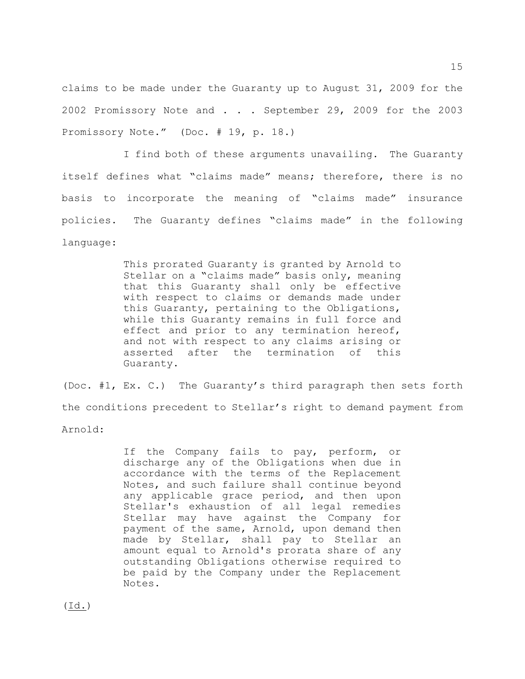claims to be made under the Guaranty up to August 31, 2009 for the 2002 Promissory Note and . . . September 29, 2009 for the 2003 Promissory Note." (Doc. # 19, p. 18.)

I find both of these arguments unavailing. The Guaranty itself defines what "claims made" means; therefore, there is no basis to incorporate the meaning of "claims made" insurance policies. The Guaranty defines "claims made" in the following language:

> This prorated Guaranty is granted by Arnold to Stellar on a "claims made" basis only, meaning that this Guaranty shall only be effective with respect to claims or demands made under this Guaranty, pertaining to the Obligations, while this Guaranty remains in full force and effect and prior to any termination hereof, and not with respect to any claims arising or asserted after the termination of this Guaranty.

(Doc. #1, Ex. C.) The Guaranty's third paragraph then sets forth the conditions precedent to Stellar's right to demand payment from Arnold:

> If the Company fails to pay, perform, or discharge any of the Obligations when due in accordance with the terms of the Replacement Notes, and such failure shall continue beyond any applicable grace period, and then upon Stellar's exhaustion of all legal remedies Stellar may have against the Company for payment of the same, Arnold, upon demand then made by Stellar, shall pay to Stellar an amount equal to Arnold's prorata share of any outstanding Obligations otherwise required to be paid by the Company under the Replacement Notes.

(Id.)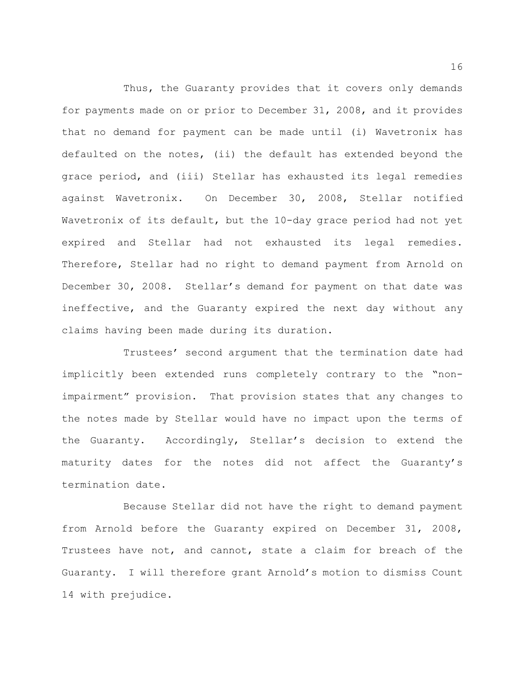Thus, the Guaranty provides that it covers only demands for payments made on or prior to December 31, 2008, and it provides that no demand for payment can be made until (i) Wavetronix has defaulted on the notes, (ii) the default has extended beyond the grace period, and (iii) Stellar has exhausted its legal remedies against Wavetronix. On December 30, 2008, Stellar notified Wavetronix of its default, but the 10-day grace period had not yet expired and Stellar had not exhausted its legal remedies. Therefore, Stellar had no right to demand payment from Arnold on December 30, 2008. Stellar's demand for payment on that date was ineffective, and the Guaranty expired the next day without any claims having been made during its duration.

Trustees' second argument that the termination date had implicitly been extended runs completely contrary to the "nonimpairment" provision. That provision states that any changes to the notes made by Stellar would have no impact upon the terms of the Guaranty. Accordingly, Stellar's decision to extend the maturity dates for the notes did not affect the Guaranty's termination date.

Because Stellar did not have the right to demand payment from Arnold before the Guaranty expired on December 31, 2008, Trustees have not, and cannot, state a claim for breach of the Guaranty. I will therefore grant Arnold's motion to dismiss Count 14 with prejudice.

16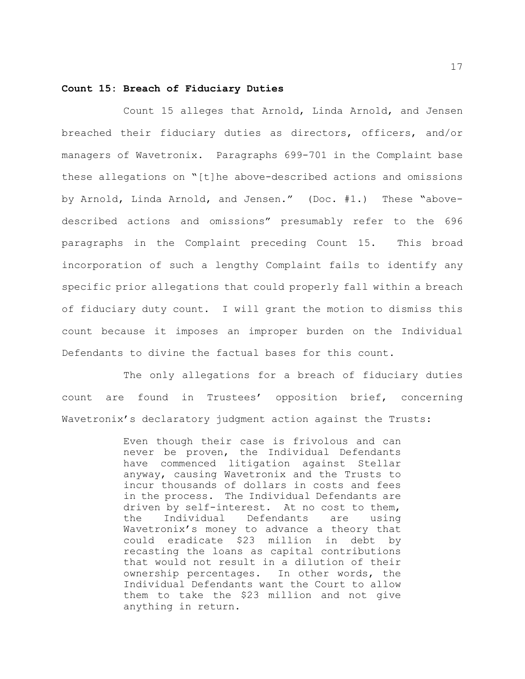#### **Count 15: Breach of Fiduciary Duties**

Count 15 alleges that Arnold, Linda Arnold, and Jensen breached their fiduciary duties as directors, officers, and/or managers of Wavetronix. Paragraphs 699-701 in the Complaint base these allegations on "[t]he above-described actions and omissions by Arnold, Linda Arnold, and Jensen." (Doc. #1.) These "abovedescribed actions and omissions" presumably refer to the 696 paragraphs in the Complaint preceding Count 15. This broad incorporation of such a lengthy Complaint fails to identify any specific prior allegations that could properly fall within a breach of fiduciary duty count. I will grant the motion to dismiss this count because it imposes an improper burden on the Individual Defendants to divine the factual bases for this count.

The only allegations for a breach of fiduciary duties count are found in Trustees' opposition brief, concerning Wavetronix's declaratory judgment action against the Trusts:

> Even though their case is frivolous and can never be proven, the Individual Defendants have commenced litigation against Stellar anyway, causing Wavetronix and the Trusts to incur thousands of dollars in costs and fees in the process. The Individual Defendants are driven by self-interest. At no cost to them, the Individual Defendants are using Wavetronix's money to advance a theory that could eradicate \$23 million in debt by recasting the loans as capital contributions that would not result in a dilution of their ownership percentages. In other words, the Individual Defendants want the Court to allow them to take the \$23 million and not give anything in return.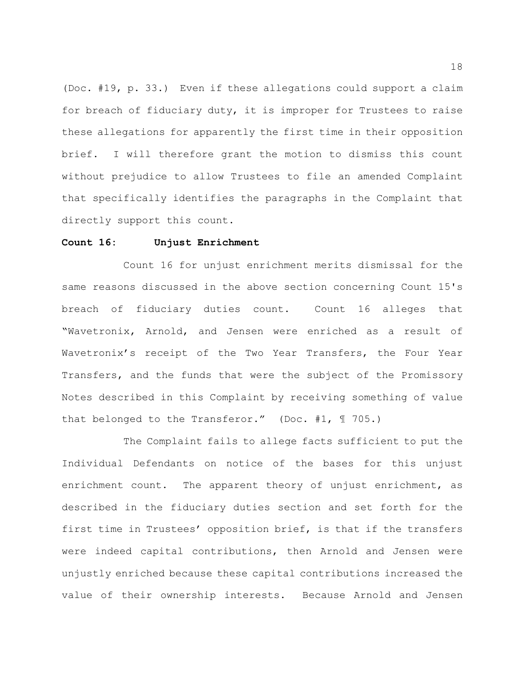(Doc. #19, p. 33.) Even if these allegations could support a claim for breach of fiduciary duty, it is improper for Trustees to raise these allegations for apparently the first time in their opposition brief. I will therefore grant the motion to dismiss this count without prejudice to allow Trustees to file an amended Complaint that specifically identifies the paragraphs in the Complaint that directly support this count.

#### **Count 16: Unjust Enrichment**

Count 16 for unjust enrichment merits dismissal for the same reasons discussed in the above section concerning Count 15's breach of fiduciary duties count. Count 16 alleges that "Wavetronix, Arnold, and Jensen were enriched as a result of Wavetronix's receipt of the Two Year Transfers, the Four Year Transfers, and the funds that were the subject of the Promissory Notes described in this Complaint by receiving something of value that belonged to the Transferor." (Doc. #1, ¶ 705.)

The Complaint fails to allege facts sufficient to put the Individual Defendants on notice of the bases for this unjust enrichment count. The apparent theory of unjust enrichment, as described in the fiduciary duties section and set forth for the first time in Trustees' opposition brief, is that if the transfers were indeed capital contributions, then Arnold and Jensen were unjustly enriched because these capital contributions increased the value of their ownership interests. Because Arnold and Jensen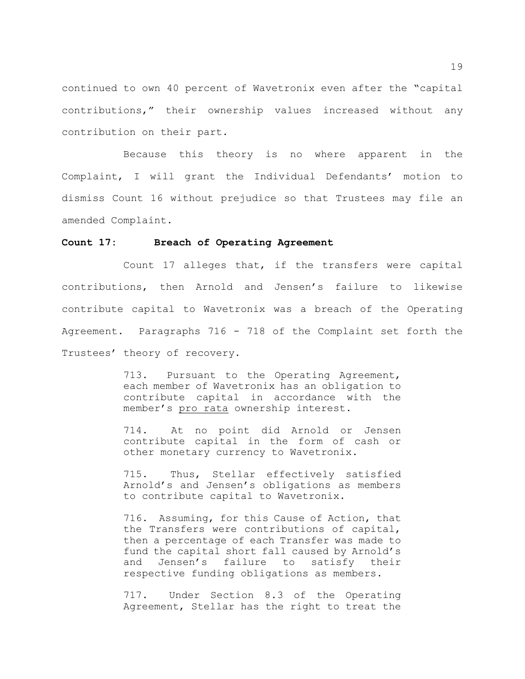continued to own 40 percent of Wavetronix even after the "capital contributions," their ownership values increased without any contribution on their part.

Because this theory is no where apparent in the Complaint, I will grant the Individual Defendants' motion to dismiss Count 16 without prejudice so that Trustees may file an amended Complaint.

#### **Count 17: Breach of Operating Agreement**

Count 17 alleges that, if the transfers were capital contributions, then Arnold and Jensen's failure to likewise contribute capital to Wavetronix was a breach of the Operating Agreement. Paragraphs 716 - 718 of the Complaint set forth the Trustees' theory of recovery.

> 713. Pursuant to the Operating Agreement, each member of Wavetronix has an obligation to contribute capital in accordance with the member's pro rata ownership interest.

> 714. At no point did Arnold or Jensen contribute capital in the form of cash or other monetary currency to Wavetronix.

> 715. Thus, Stellar effectively satisfied Arnold's and Jensen's obligations as members to contribute capital to Wavetronix.

> 716. Assuming, for this Cause of Action, that the Transfers were contributions of capital, then a percentage of each Transfer was made to fund the capital short fall caused by Arnold's and Jensen's failure to satisfy their respective funding obligations as members.

> 717. Under Section 8.3 of the Operating Agreement, Stellar has the right to treat the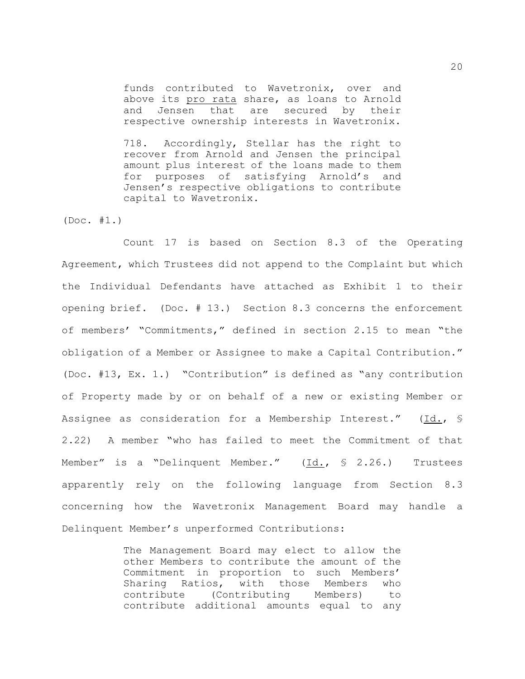funds contributed to Wavetronix, over and above its pro rata share, as loans to Arnold and Jensen that are secured by their respective ownership interests in Wavetronix.

718. Accordingly, Stellar has the right to recover from Arnold and Jensen the principal amount plus interest of the loans made to them for purposes of satisfying Arnold's and Jensen's respective obligations to contribute capital to Wavetronix.

(Doc. #1.)

Count 17 is based on Section 8.3 of the Operating Agreement, which Trustees did not append to the Complaint but which the Individual Defendants have attached as Exhibit 1 to their opening brief. (Doc. # 13.) Section 8.3 concerns the enforcement of members' "Commitments," defined in section 2.15 to mean "the obligation of a Member or Assignee to make a Capital Contribution." (Doc. #13, Ex. 1.) "Contribution" is defined as "any contribution of Property made by or on behalf of a new or existing Member or Assignee as consideration for a Membership Interest." (Id., § 2.22) A member "who has failed to meet the Commitment of that Member" is a "Delinquent Member." (Id., § 2.26.) Trustees apparently rely on the following language from Section 8.3 concerning how the Wavetronix Management Board may handle a Delinquent Member's unperformed Contributions:

> The Management Board may elect to allow the other Members to contribute the amount of the Commitment in proportion to such Members' Sharing Ratios, with those Members who contribute (Contributing Members) to contribute additional amounts equal to any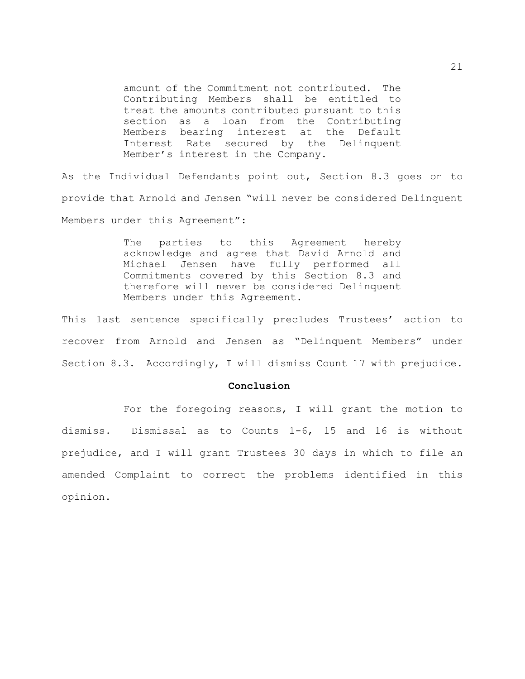amount of the Commitment not contributed. The Contributing Members shall be entitled to treat the amounts contributed pursuant to this section as a loan from the Contributing Members bearing interest at the Default Interest Rate secured by the Delinquent Member's interest in the Company.

As the Individual Defendants point out, Section 8.3 goes on to provide that Arnold and Jensen "will never be considered Delinquent Members under this Agreement":

> The parties to this Agreement hereby acknowledge and agree that David Arnold and Michael Jensen have fully performed all Commitments covered by this Section 8.3 and therefore will never be considered Delinquent Members under this Agreement.

This last sentence specifically precludes Trustees' action to recover from Arnold and Jensen as "Delinquent Members" under Section 8.3. Accordingly, I will dismiss Count 17 with prejudice.

#### **Conclusion**

For the foregoing reasons, I will grant the motion to dismiss. Dismissal as to Counts 1-6, 15 and 16 is without prejudice, and I will grant Trustees 30 days in which to file an amended Complaint to correct the problems identified in this opinion.